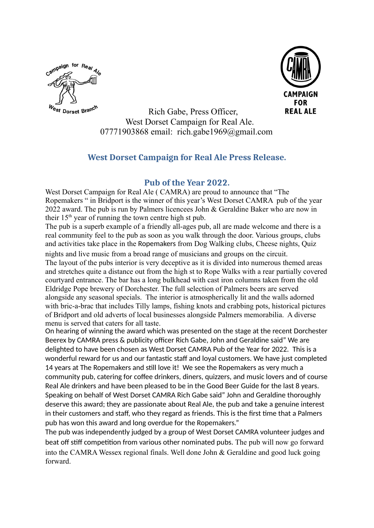



 Rich Gabe, Press Officer, West Dorset Campaign for Real Ale. 07771903868 email: rich.gabe1969@gmail.com

## **West Dorset Campaign for Real Ale Press Release.**

## **Pub of the Year 2022.**

West Dorset Campaign for Real Ale ( CAMRA) are proud to announce that "The Ropemakers " in Bridport is the winner of this year's West Dorset CAMRA pub of the year 2022 award. The pub is run by Palmers licencees John & Geraldine Baker who are now in their  $15<sup>th</sup>$  year of running the town centre high st pub.

The pub is a superb example of a friendly all-ages pub, all are made welcome and there is a real community feel to the pub as soon as you walk through the door. Various groups, clubs and activities take place in the Ropemakers from Dog Walking clubs, Cheese nights, Quiz

nights and live music from a broad range of musicians and groups on the circuit. The layout of the pubs interior is very deceptive as it is divided into numerous themed areas and stretches quite a distance out from the high st to Rope Walks with a rear partially covered courtyard entrance. The bar has a long bulkhead with cast iron columns taken from the old Eldridge Pope brewery of Dorchester. The full selection of Palmers beers are served alongside any seasonal specials. The interior is atmospherically lit and the walls adorned with bric-a-brac that includes Tilly lamps, fishing knots and crabbing pots, historical pictures of Bridport and old adverts of local businesses alongside Palmers memorabilia. A diverse menu is served that caters for all taste.

On hearing of winning the award which was presented on the stage at the recent Dorchester Beerex by CAMRA press & publicity officer Rich Gabe, John and Geraldine said" We are delighted to have been chosen as West Dorset CAMRA Pub of the Year for 2022. This is a wonderful reward for us and our fantastic staff and loyal customers. We have just completed 14 years at The Ropemakers and still love it! We see the Ropemakers as very much a community pub, catering for coffee drinkers, diners, quizzers, and music lovers and of course Real Ale drinkers and have been pleased to be in the Good Beer Guide for the last 8 years. Speaking on behalf of West Dorset CAMRA Rich Gabe said" John and Geraldine thoroughly deserve this award; they are passionate about Real Ale, the pub and take a genuine interest in their customers and staff, who they regard as friends. This is the first time that a Palmers pub has won this award and long overdue for the Ropemakers."

The pub was independently judged by a group of West Dorset CAMRA volunteer judges and beat off stiff competition from various other nominated pubs. The pub will now go forward into the CAMRA Wessex regional finals. Well done John & Geraldine and good luck going forward.